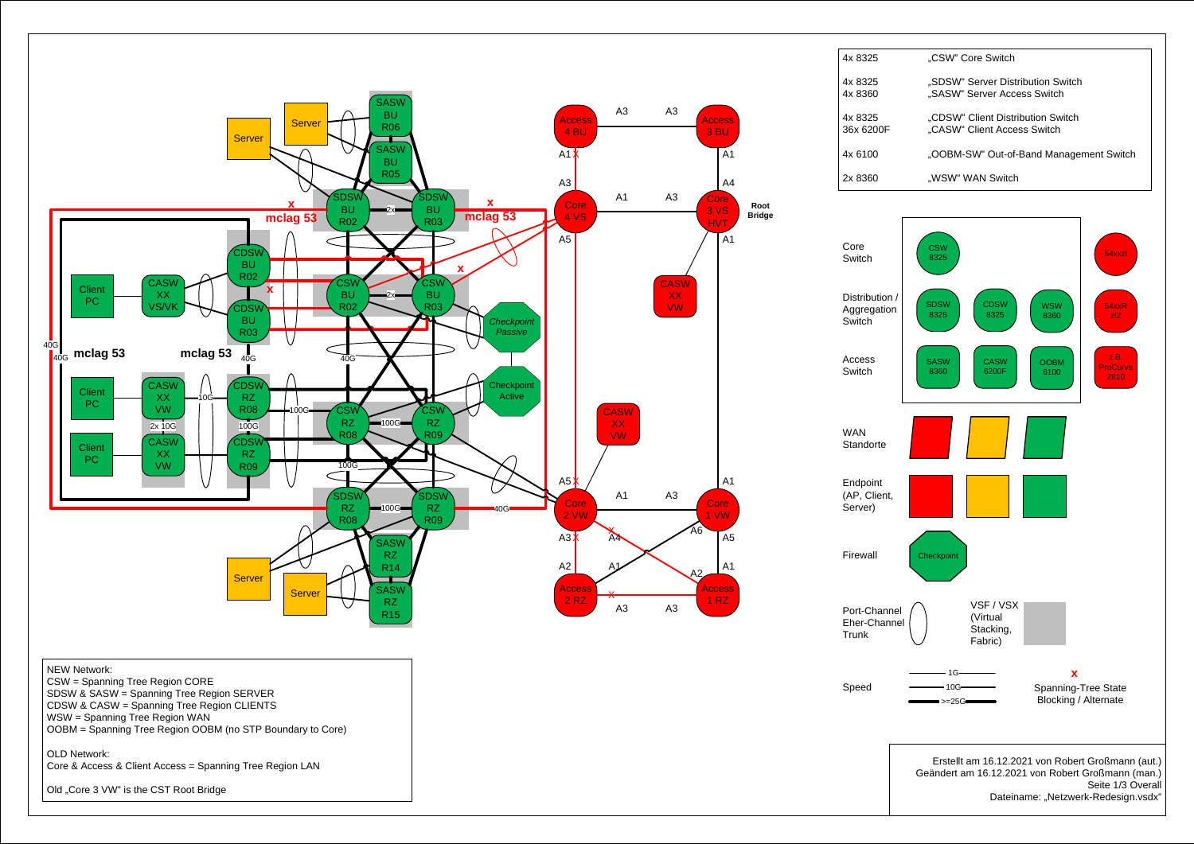

Old "Core 3 VW" is the CST Root Bridge

Dateiname: "Netzwerk-Redesign.vsdx"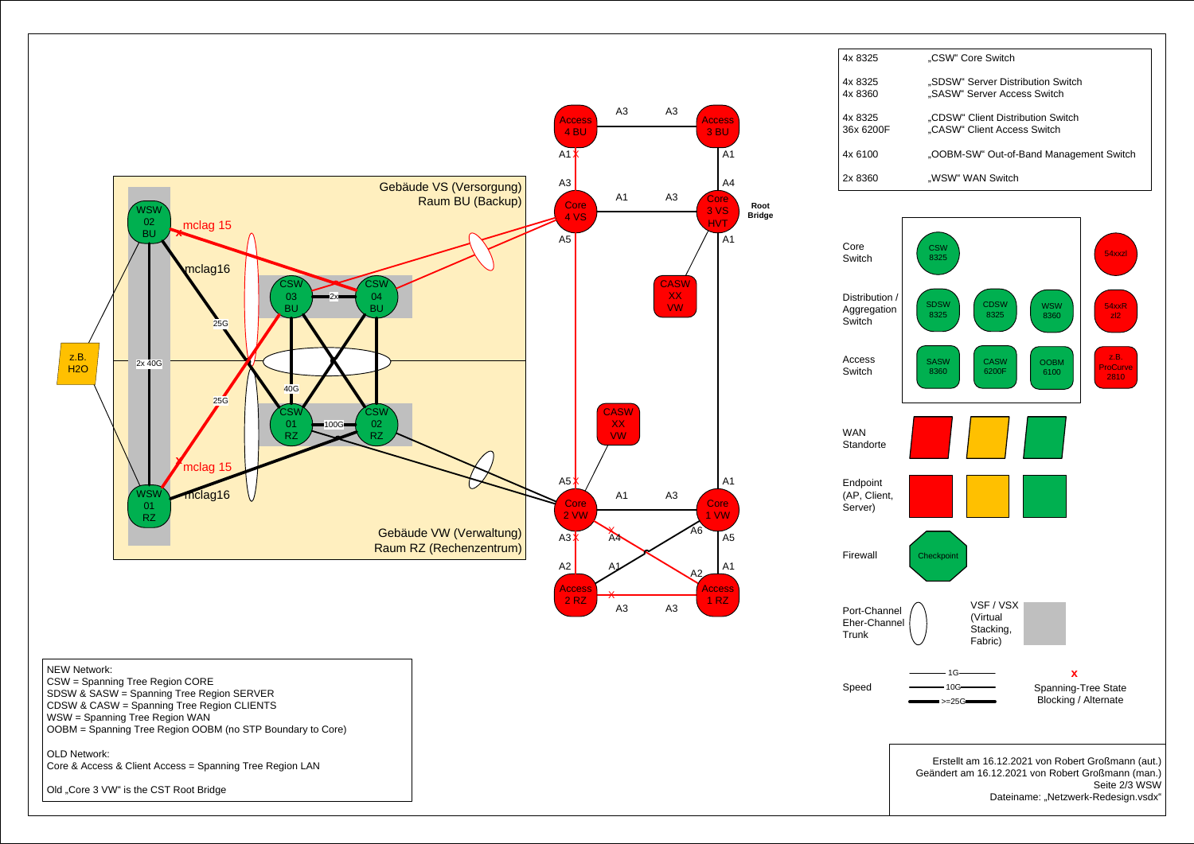

Dateiname: "Netzwerk-Redesign.vsdx"